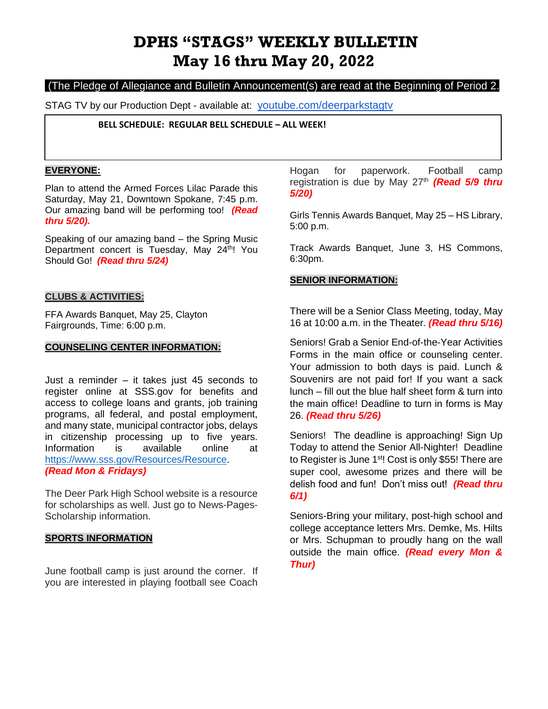# **DPHS "STAGS" WEEKLY BULLETIN May 16 thru May 20, 2022**

### (The Pledge of Allegiance and Bulletin Announcement(s) are read at the Beginning of Period 2.

STAG TV by our Production Dept - available at: [youtube.com/deerparkstagtv](http://youtube.com/deerparkstagtv)

 **BELL SCHEDULE: REGULAR BELL SCHEDULE – ALL WEEK!**

#### **EVERYONE:**

Plan to attend the Armed Forces Lilac Parade this Saturday, May 21, Downtown Spokane, 7:45 p.m. Our amazing band will be performing too! *(Read thru 5/20).*

Speaking of our amazing band – the Spring Music Department concert is Tuesday, May 24<sup>th</sup>! You Should Go! *(Read thru 5/24)*

#### **CLUBS & ACTIVITIES:**

FFA Awards Banquet, May 25, Clayton Fairgrounds, Time: 6:00 p.m.

#### **COUNSELING CENTER INFORMATION:**

Just a reminder – it takes just 45 seconds to register online at SSS.gov for benefits and access to college loans and grants, job training programs, all federal, and postal employment, and many state, municipal contractor jobs, delays in citizenship processing up to five years. Information is available online at [https://www.sss.gov/Resources/Resource.](https://www.sss.gov/Resources/Resource) *(Read Mon & Fridays)*

The Deer Park High School website is a resource for scholarships as well. Just go to News-Pages-Scholarship information.

#### **SPORTS INFORMATION**

June football camp is just around the corner. If you are interested in playing football see Coach

Hogan for paperwork. Football camp registration is due by May 27<sup>th</sup> (Read 5/9 thru *5/20)*

Girls Tennis Awards Banquet, May 25 – HS Library, 5:00 p.m.

Track Awards Banquet, June 3, HS Commons, 6:30pm.

#### **SENIOR INFORMATION:**

There will be a Senior Class Meeting, today, May 16 at 10:00 a.m. in the Theater. *(Read thru 5/16)*

Seniors! Grab a Senior End-of-the-Year Activities Forms in the main office or counseling center. Your admission to both days is paid. Lunch & Souvenirs are not paid for! If you want a sack lunch – fill out the blue half sheet form & turn into the main office! Deadline to turn in forms is May 26. *(Read thru 5/26)*

Seniors! The deadline is approaching! Sign Up Today to attend the Senior All-Nighter! Deadline to Register is June 1<sup>st</sup>! Cost is only \$55! There are super cool, awesome prizes and there will be delish food and fun! Don't miss out! *(Read thru 6/1)*

Seniors-Bring your military, post-high school and college acceptance letters Mrs. Demke, Ms. Hilts or Mrs. Schupman to proudly hang on the wall outside the main office. *(Read every Mon & Thur)*